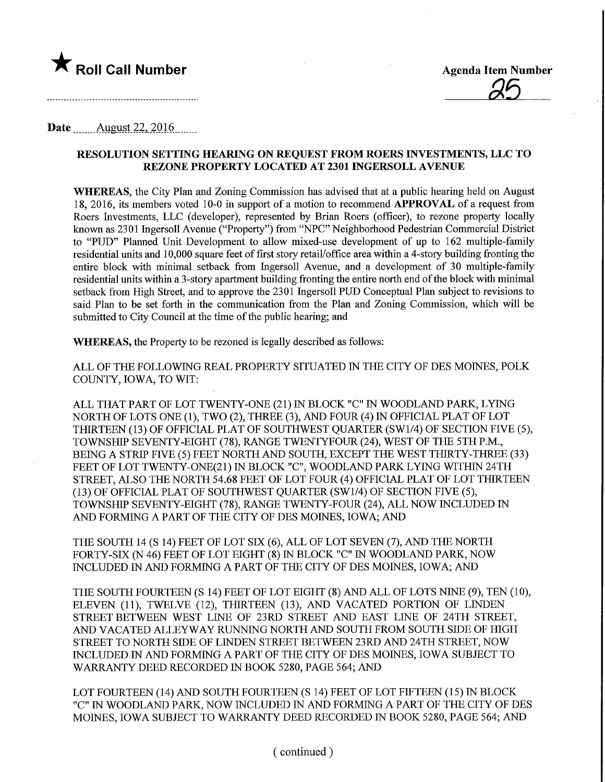

## Date .......\_Augyst.22,.201.6.

## RESOLUTION SETTING HEARING ON REQUEST FROM ROERS mVESTMENTS, LLC TO REZONE PROPERTY LOCATED AT 2301 INGERSOLL AVENUE

WHEREAS, the City Plan and Zoning Commission has advised that at a public hearing held on August 18, 2016, its members voted 10-0 in support of a motion to recommend APPROVAL of a request from Roers Investments, LLC (developer), represented by Brian Roers (officer), to rezone property locally known as 2301 Ingersoll Avenue ("Property") from "NPC" Neighborhood Pedestrian Commercial District to "PUD" Planned Unit Development to allow mixed-use development of up to 162 multiple-family residential units and 10,000 square feet of first story retaiVoffice area within a 4-story building fronting the entire block with minimal setback from Ingersoll Avenue, and a development of 30 multiple-family residential units within a 3-story apartment building fronting the entire north end of the block with minimal setback from High Street, and to approve the 2301 Ingersoll PUD Conceptual Plan subject to revisions to said Plan to be set forth in the communication from the Plan and Zoning Commission, which will be submitted to City Council at the time of the public hearing; and

WHEREAS, the Property to be rezoned is legally described as follows:

ALL OF THE FOLLOWING REAL PROPERTY SITUATED IN THE CITY OF DES MOINES, POLK COUNTY, IOWA, TO WIT:

ALL THAT PART OF LOT TWENTY-ONE (21) IN BLOCK "C" IN WOODLAND PARK, LYING NORTH OF LOTS ONE (1), TWO (2), THREE (3), AND FOUR (4) IN OFFICIAL PLAT OF LOT THIRTEEN (13) OF OFFICIAL PLAT OF SOUTHWEST QUARTER (SW1/4) OF SECTION FWE (5), TOWNSHIP SEVENTY-EIGHT (78), RANGE TWENTYFOUR (24), WEST OF THE 5TH P.M., BEING A STRIP FIVE (5) FEET NORTH AND SOUTH, EXCEPT THE WEST TfflRTY-THREE (33) FEET OF LOT TWENTY-ONE(21) IN BLOCK "C", WOODLAND PARK LYING WITHIN 24TH STREET, ALSO THE NORTH 54.68 FEET OF LOT FOUR (4) OFFICIAL PLAT OF LOT THIRTEEN (13) OF OFFICIAL PLAT OF SOUTHWEST QUARTER (SW1/4) OF SECTION FWE (5), TOWNSHIP SEVENTY-EIGHT (78), RANGE TWENTY-FOUR (24), ALL NOW INCLUDED IN AND FORMING A PART OF THE CITY OF DES MOINES, IOWA; AND

THE SOUTH 14 (S 14) FEET OF LOT SIX (6), ALL OF LOT SEVEN (7), AND THE NORTH FORTY-SIX (N 46) FEET OF LOT EIGHT (8) IN BLOCK "C" IN WOODLAND PARK, NOW INCLUDED IN AND FORMING A PART OF THE CITY OF DES MOINES, IOWA; AND

THE SOUTH FOURTEEN (S 14) FEET OF LOT EIGHT (8) AND ALL OF LOTS NINE (9), TEN (10), ELEVEN (11), TWELVE (12), THIRTEEN (13), AND VACATED PORTION OF LINDEN STREET BETWEEN WEST LINE OF 23RD STREET AND EAST LINE OF 24TH STREET, AND VACATED ALLEYWAY RUNNING NORTH AND SOUTH FROM SOUTH SIDE OF HIGH STREET TO NORTH SIDE OF LINDEN STREET BETWEEN 23RD AND 24TH STREET, NOW INCLUDED IN AND FORMING A PART OF THE CITY OF DES MOINES, IOWA SUBJECT TO WARRANTY DEED RECORDED IN BOOK 5280, PAGE 564; AND

LOT FOURTEEN (14) AND SOUTH FOURTEEN (S 14) FEET OF LOT FIFTEEN (15) IN BLOCK "C" IN WOODLAND PARK, NOW INCLUDED IN AND FORMING A PART OF THE CITY OF DES MOINES, IOWA SUBJECT TO WARRANTY DEED RECORDED IN BOOK 5280, PAGE 564; AND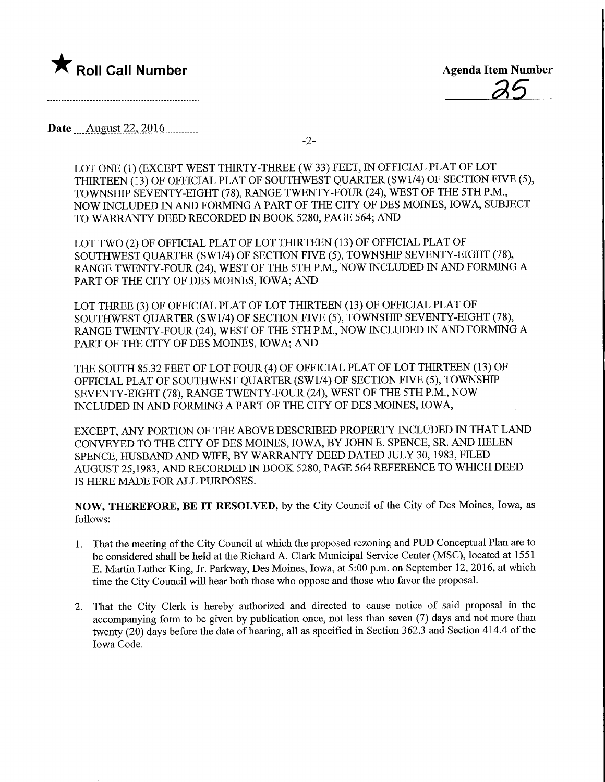

Date August 22, 2016

-2-

LOT ONE (1) (EXCEPT WEST THIRTY-THREE (W 33) FEET, IN OFFICIAL PLAT OF LOT THIRTEEN (13) OF OFFICIAL PLAT OF SOUTHWEST QUARTER (SW1/4) OF SECTION FIVE (5), TOWNSHIP SEVENTY-EIGHT (78), RANGE TWENTY-FOUR (24), WEST OF THE 5TH P.M., NOW INCLUDED IN AND FORMING A PART OF THE CITY OF DES MOINES, IOWA, SUBJECT TO WARRANTY DEED RECORDED IN BOOK 5280, PAGE 564; AND

LOT TWO (2) OF OFFICIAL PLAT OF LOT THIRTEEN (13) OF OFFICIAL PLAT OF SOUTHWEST QUARTER (SW1/4) OF SECTION FFVE (5), TOWNSHIP SEVENTY-EIGHT (78), RANGE TWENTY-FOUR (24), WEST OF THE 5TH P.M., NOW INCLUDED IN AND FORMING A PART OF THE CITY OF DES MOINES, IOWA; AND

LOT THREE (3) OF OFFICIAL PLAT OF LOT THIRTEEN (13) OF OFFICIAL PLAT OF SOUTHWEST QUARTER (SW1/4) OF SECTION FIVE (5), TOWNSHIP SEVENTY-EIGHT (78), RANGE TWENTY-FOUR (24), WEST OF THE 5TH P.M, NOW INCLUDED IN AND FORMING A PART OF THE CITY OF DES MOINES, IOWA; AND

THE SOUTH 85.32 FEET OF LOT FOUR (4) OF OFFICIAL PLAT OF LOT THIRTEEN (13) OF OFFICIAL PLAT OF SOUTHWEST QUARTER (SW1/4) OF SECTION FIVE (5), TOWNSHIP SEVENTY-EIGHT (78), RANGE TWENTY-FOUR (24), WEST OF THE 5TH P.M, NOW INCLUDED IN AND FORMING A PART OF THE CITY OF DES MOINES, IOWA,

EXCEPT, ANY PORTION OF THE ABOVE DESCRIBED PROPERTY INCLUDED IN THAT LAND CONVEYED TO THE CITY OF DES MOINES, IOWA, BY JOHN E. SPENCE, SR. AND HELEN SPENCE, HUSBAND AND WIFE, BY WARRANTY DEED DATED JULY 30, 1983, FILED AUGUST 25,1983, AND RECORDED IN BOOK 5280, PAGE 564 REFERENCE TO WHICH DEED IS HERE MADE FOR ALL PURPOSES.

NOW, THEREFORE, BE IT RESOLVED, by the City Council of the City of Des Moines, Iowa, as follows:

- 1. That the meeting of the City Council at which the proposed rezoning and PUD Conceptual Plan are to be considered shall be held at the Richard A. Clark Municipal Service Center (MSC), located at 1551 E. Martin Luther King, Jr. Parkway, Des Moines, Iowa, at 5:00 p.m. on September 12, 2016, at which time the City Council will hear both those who oppose and those who favor the proposal.
- 2. That the City Clerk is hereby authorized and directed to cause notice of said proposal in the accompanying form to be given by publication once, not less than seven (7) days and not more than twenty (20) days before the date of hearing, all as specified in Section 362.3 and Section 414.4 of the Iowa Code.